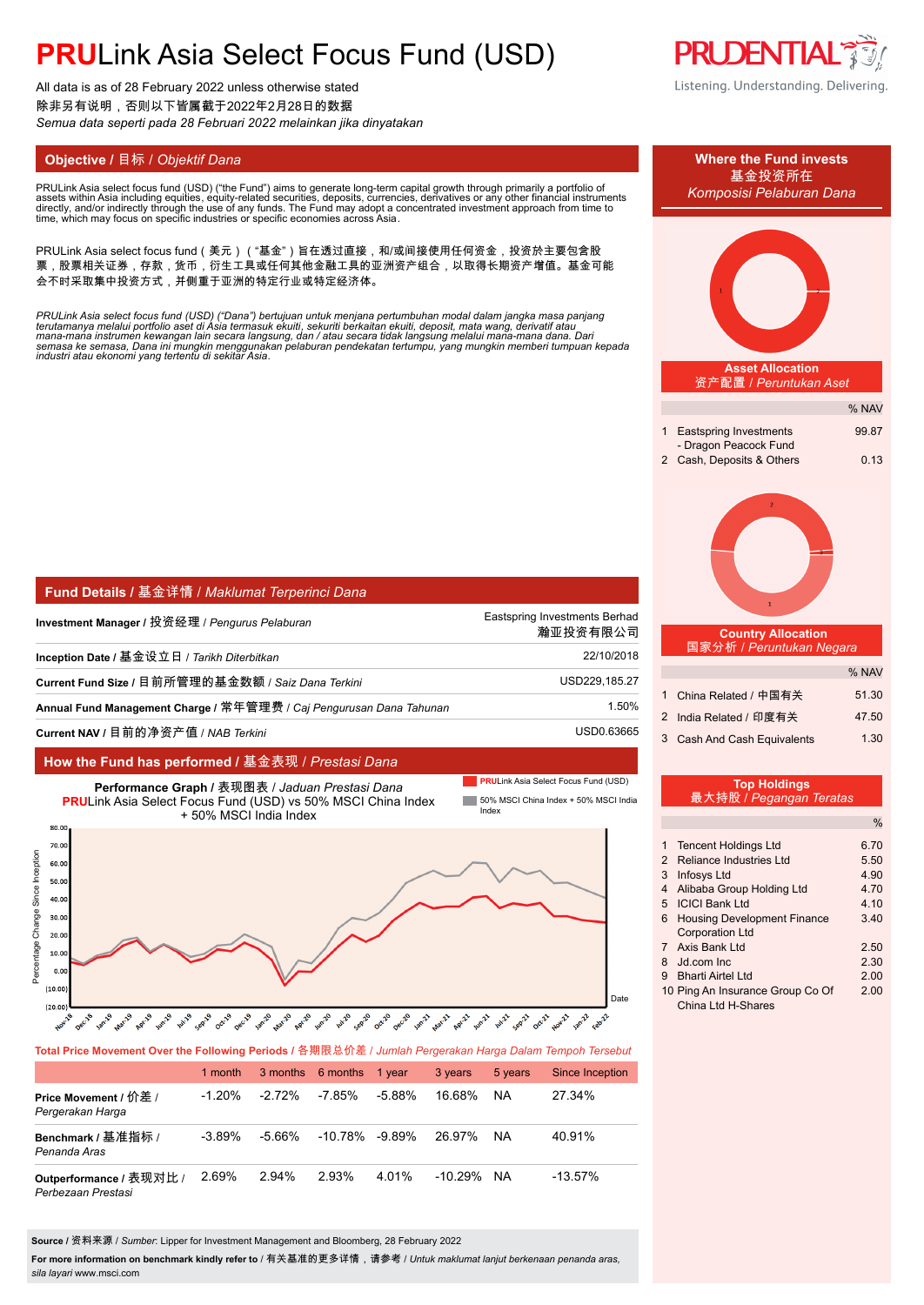All data is as of 28 February 2022 unless otherwise stated 除非另有说明,否则以下皆属截于2022年2月28日的数据 *Semua data seperti pada 28 Februari 2022 melainkan jika dinyatakan*

#### **Objective /** 目标 / *Objektif Dana* **Where the Fund invests**

PRULink Asia select focus fund (USD) ("the Fund") aims to generate long-term capital growth through primarily a portfolio of assets within Asia including equities, equity-related securities, deposits, currencies, derivatives or any other financial instruments<br>directly, and/or indirectly through the use of any funds. The Fund may adopt a concentr

PRULink Asia select focus fund(美元)("基金")旨在透过直接,和/或间接使用任何资金,投资於主要包含股 票,股票相关证券,存款,货币,衍生工具或任何其他金融工具的亚洲资产组合,以取得长期资产增值。基金可能 会不时采取集中投资方式,并侧重于亚洲的特定行业或特定经济体。

PRULink Asia select focus fund (USD) ("Dana") bertujuan untuk menjana pertumbuhan modal dalam jangka masa panjang<br>terutamanya melalui portfolio aset di Asia termasuk ekuiti, sekuriti berkaitan ekuiti, deposit, mata wang, d

| Fund Details / 基金详情 / Maklumat Terperinci Dana                      |                                           |
|---------------------------------------------------------------------|-------------------------------------------|
| Investment Manager / 投资经理 / <i>Penqurus Pelaburan</i>               | Eastspring Investments Berhad<br>瀚亚投资有限公司 |
| Inception Date / 基金设立日 / <i>Tarikh Diterbitkan</i>                  | 22/10/2018                                |
| Current Fund Size / 目前所管理的基金数额 / Saiz Dana Terkini                  | USD229,185.27                             |
| Annual Fund Management Charge / 常年管理费 / Cai Pengurusan Dana Tahunan | 1.50%                                     |
| Current NAV / 目前的净资产值 / NAB <i>Terkini</i>                          | USD0.63665                                |

#### **How the Fund has performed /** 基金表现 / *Prestasi Dana*



#### **Total Price Movement Over the Following Periods /** 各期限总价差 / *Jumlah Pergerakan Harga Dalam Tempoh Tersebut*

|                                               | 1 month   |          | 3 months 6 months | 1 vear | 3 years    | 5 years | Since Inception |
|-----------------------------------------------|-----------|----------|-------------------|--------|------------|---------|-----------------|
| Price Movement / 价差 /<br>Pergerakan Harga     | $-1.20\%$ | $-2.72%$ | $-7.85%$          | -5.88% | 16.68%     | ΝA      | 27.34%          |
| Benchmark / 基准指标 /<br>Penanda Aras            | $-3.89\%$ | -5.66%   | -10.78%           | -9.89% | 26.97%     | NA.     | 40.91%          |
| Outperformance / 表现对比 /<br>Perbezaan Prestasi | 2.69%     | 2.94%    | 2.93%             | 4.01%  | $-10.29\%$ | NA      | $-13.57%$       |

**Source /** 资料来源 / *Sumber*: Lipper for Investment Management and Bloomberg, 28 February 2022

**For more information on benchmark kindly refer to** / 有关基准的更多详情,请参考 / *Untuk maklumat lanjut berkenaan penanda aras, sila layari* www.msci.com



| Komposisi Pelaburan Dana                                                                                                                                                                                                                      |                                              |  |  |  |  |
|-----------------------------------------------------------------------------------------------------------------------------------------------------------------------------------------------------------------------------------------------|----------------------------------------------|--|--|--|--|
|                                                                                                                                                                                                                                               |                                              |  |  |  |  |
| <b>Asset Allocation</b><br>资产配置 / Peruntukan Aset                                                                                                                                                                                             |                                              |  |  |  |  |
|                                                                                                                                                                                                                                               | % NAV                                        |  |  |  |  |
| 1<br><b>Eastspring Investments</b>                                                                                                                                                                                                            | 99.87                                        |  |  |  |  |
| - Dragon Peacock Fund<br>Cash, Deposits & Others<br>2                                                                                                                                                                                         | 0.13                                         |  |  |  |  |
| 2<br>1                                                                                                                                                                                                                                        |                                              |  |  |  |  |
| <b>Country Allocation</b><br>国家分析 / Peruntukan Negara                                                                                                                                                                                         |                                              |  |  |  |  |
|                                                                                                                                                                                                                                               | % NAV                                        |  |  |  |  |
| 1<br>China Related / 中国有关                                                                                                                                                                                                                     | 51.30                                        |  |  |  |  |
| India Related / 印度有关<br>$\overline{2}$                                                                                                                                                                                                        | 47.50                                        |  |  |  |  |
| 3<br>Cash And Cash Equivalents                                                                                                                                                                                                                | 1.30                                         |  |  |  |  |
| <b>Top Holdings</b><br>最大持股 / Pegangan Teratas                                                                                                                                                                                                |                                              |  |  |  |  |
|                                                                                                                                                                                                                                               | $\frac{0}{0}$                                |  |  |  |  |
| 1<br><b>Tencent Holdings Ltd</b><br>$\overline{2}$<br><b>Reliance Industries Ltd</b><br>3<br>Infosys Ltd<br>4<br>Alibaba Group Holding Ltd<br>5<br><b>ICICI Bank Ltd</b><br><b>Housing Development Finance</b><br>6<br><b>Corporation Ltd</b> | 6.70<br>5.50<br>4.90<br>4.70<br>4.10<br>3.40 |  |  |  |  |
| Axis Bank Ltd<br>7                                                                                                                                                                                                                            | 2.50                                         |  |  |  |  |

- 8 Jd.com Inc 2.30
- 9 Bharti Airtel Ltd 2.00 10 Ping An Insurance Group Co Of 2.00
- China Ltd H-Shares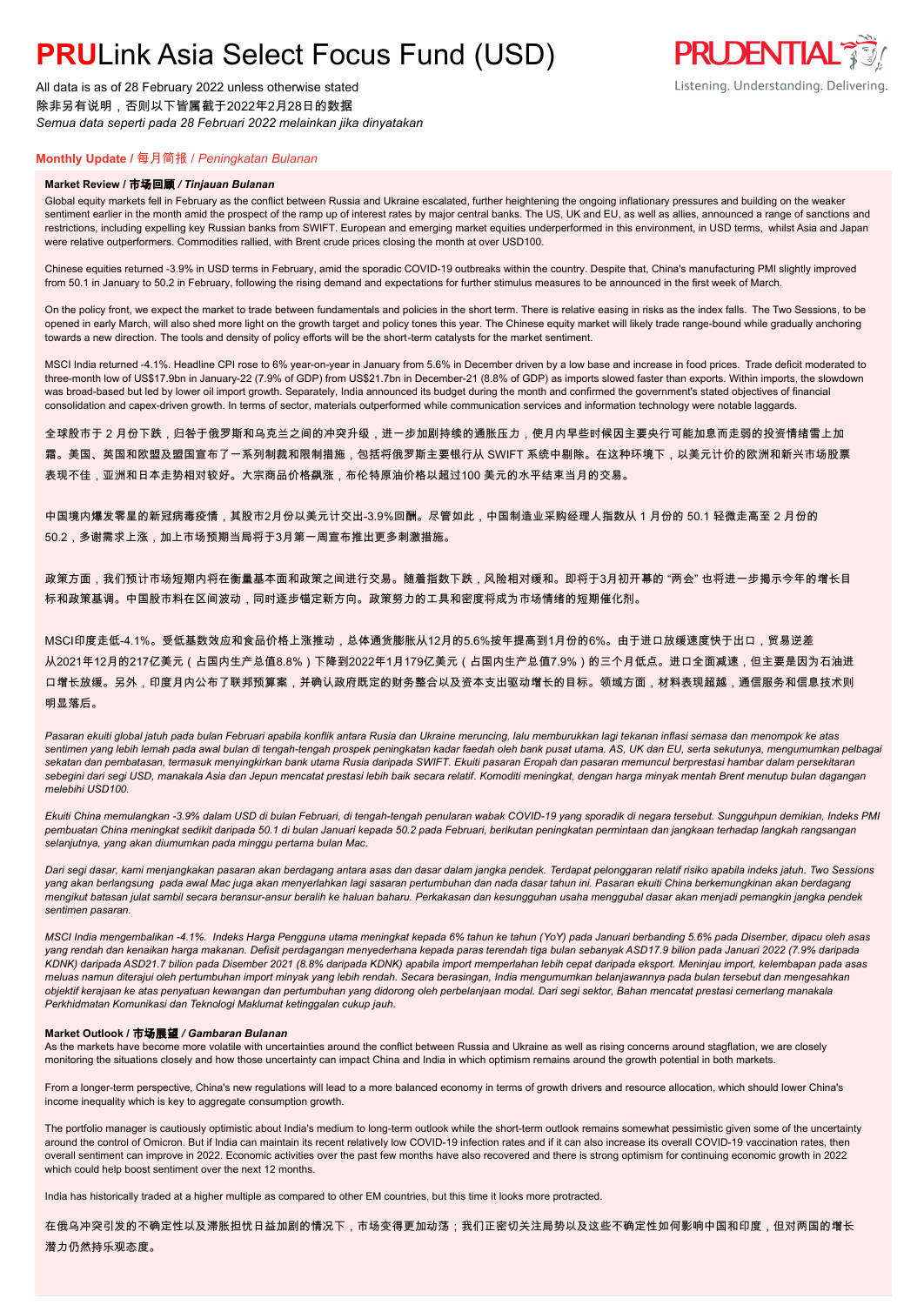All data is as of 28 February 2022 unless otherwise stated 除非另有说明,否则以下皆属截于2022年2月28日的数据 *Semua data seperti pada 28 Februari 2022 melainkan jika dinyatakan*

### **PRUDENTIAL** Listening. Understanding. Delivering.

### **Monthly Update /** 每月简报 / *Peningkatan Bulanan*

#### **Market Review /** 市场回顾 */ Tinjauan Bulanan*

Global equity markets fell in February as the conflict between Russia and Ukraine escalated, further heightening the ongoing inflationary pressures and building on the weaker sentiment earlier in the month amid the prospect of the ramp up of interest rates by major central banks. The US, UK and EU, as well as allies, announced a range of sanctions and restrictions, including expelling key Russian banks from SWIFT. European and emerging market equities underperformed in this environment, in USD terms, whilst Asia and Japan were relative outperformers. Commodities rallied, with Brent crude prices closing the month at over USD100.

Chinese equities returned -3.9% in USD terms in February, amid the sporadic COVID-19 outbreaks within the country. Despite that, China's manufacturing PMI slightly improved from 50.1 in January to 50.2 in February, following the rising demand and expectations for further stimulus measures to be announced in the first week of March.

On the policy front, we expect the market to trade between fundamentals and policies in the short term. There is relative easing in risks as the index falls. The Two Sessions, to be opened in early March, will also shed more light on the growth target and policy tones this year. The Chinese equity market will likely trade range-bound while gradually anchoring towards a new direction. The tools and density of policy efforts will be the short-term catalysts for the market sentiment.

MSCI India returned -4.1%. Headline CPI rose to 6% year-on-year in January from 5.6% in December driven by a low base and increase in food prices. Trade deficit moderated to three-month low of US\$17.9bn in January-22 (7.9% of GDP) from US\$21.7bn in December-21 (8.8% of GDP) as imports slowed faster than exports. Within imports, the slowdown was broad-based but led by lower oil import growth. Separately, India announced its budget during the month and confirmed the government's stated objectives of financial consolidation and capex-driven growth. In terms of sector, materials outperformed while communication services and information technology were notable laggards.

全球股市于 2 月份下跌,归咎于俄罗斯和乌克兰之间的冲突升级,进一步加剧持续的通胀压力,使月内早些时候因主要央行可能加息而走弱的投资情绪雪上加 霜。美国、英国和欧盟及盟国宣布了一系列制裁和限制措施,包括将俄罗斯主要银行从 SWIFT 系统中剔除。在这种环境下,以美元计价的欧洲和新兴市场股票 表现不佳,亚洲和日本走势相对较好。大宗商品价格飙涨,布伦特原油价格以超过100 美元的水平结束当月的交易。

中国境内爆发零星的新冠病毒疫情,其股市2月份以美元计交出-3.9%回酬。尽管如此,中国制造业采购经理人指数从 1 月份的 50.1 轻微走高至 2 月份的 50.2,多谢需求上涨,加上市场预期当局将于3月第一周宣布推出更多刺激措施。

政策方面,我们预计市场短期内将在衡量基本面和政策之间进行交易。随着指数下跌,风险相对缓和。即将于3月初开幕的 "两会" 也将进一步揭示今年的增长目 标和政策基调。中国股市料在区间波动,同时逐步锚定新方向。政策努力的工具和密度将成为市场情绪的短期催化剂。

MSCI印度走低-4.1%。受低基数效应和食品价格上涨推动,总体通货膨胀从12月的5.6%按年提高到1月份的6%。由于进口放缓速度快于出口,贸易逆差 从2021年12月的217亿美元(占国内生产总值8.8%)下降到2022年1月179亿美元(占国内生产总值7.9%)的三个月低点。进口全面减速,但主要是因为石油进 口增长放缓。另外,印度月内公布了联邦预算案,并确认政府既定的财务整合以及资本支出驱动增长的目标。领域方面,材料表现超越,通信服务和信息技术则 明显落后。

*Pasaran ekuiti global jatuh pada bulan Februari apabila konflik antara Rusia dan Ukraine meruncing, lalu memburukkan lagi tekanan inflasi semasa dan menompok ke atas sentimen yang lebih lemah pada awal bulan di tengah-tengah prospek peningkatan kadar faedah oleh bank pusat utama. AS, UK dan EU, serta sekutunya, mengumumkan pelbagai sekatan dan pembatasan, termasuk menyingkirkan bank utama Rusia daripada SWIFT. Ekuiti pasaran Eropah dan pasaran memuncul berprestasi hambar dalam persekitaran sebegini dari segi USD, manakala Asia dan Jepun mencatat prestasi lebih baik secara relatif. Komoditi meningkat, dengan harga minyak mentah Brent menutup bulan dagangan melebihi USD100.*

*Ekuiti China memulangkan -3.9% dalam USD di bulan Februari, di tengah-tengah penularan wabak COVID-19 yang sporadik di negara tersebut. Sungguhpun demikian, Indeks PMI pembuatan China meningkat sedikit daripada 50.1 di bulan Januari kepada 50.2 pada Februari, berikutan peningkatan permintaan dan jangkaan terhadap langkah rangsangan selanjutnya, yang akan diumumkan pada minggu pertama bulan Mac.*

*Dari segi dasar, kami menjangkakan pasaran akan berdagang antara asas dan dasar dalam jangka pendek. Terdapat pelonggaran relatif risiko apabila indeks jatuh. Two Sessions yang akan berlangsung pada awal Mac juga akan menyerlahkan lagi sasaran pertumbuhan dan nada dasar tahun ini. Pasaran ekuiti China berkemungkinan akan berdagang mengikut batasan julat sambil secara beransur-ansur beralih ke haluan baharu. Perkakasan dan kesungguhan usaha menggubal dasar akan menjadi pemangkin jangka pendek sentimen pasaran.*

*MSCI India mengembalikan -4.1%. Indeks Harga Pengguna utama meningkat kepada 6% tahun ke tahun (YoY) pada Januari berbanding 5.6% pada Disember, dipacu oleh asas yang rendah dan kenaikan harga makanan. Defisit perdagangan menyederhana kepada paras terendah tiga bulan sebanyak ASD17.9 bilion pada Januari 2022 (7.9% daripada KDNK) daripada ASD21.7 bilion pada Disember 2021 (8.8% daripada KDNK) apabila import memperlahan lebih cepat daripada eksport. Meninjau import, kelembapan pada asas meluas namun diterajui oleh pertumbuhan import minyak yang lebih rendah. Secara berasingan, India mengumumkan belanjawannya pada bulan tersebut dan mengesahkan objektif kerajaan ke atas penyatuan kewangan dan pertumbuhan yang didorong oleh perbelanjaan modal. Dari segi sektor, Bahan mencatat prestasi cemerlang manakala Perkhidmatan Komunikasi dan Teknologi Maklumat ketinggalan cukup jauh.*

#### **Market Outlook /** 市场展望 */ Gambaran Bulanan*

As the markets have become more volatile with uncertainties around the conflict between Russia and Ukraine as well as rising concerns around stagflation, we are closely monitoring the situations closely and how those uncertainty can impact China and India in which optimism remains around the growth potential in both markets.

From a longer-term perspective, China's new regulations will lead to a more balanced economy in terms of growth drivers and resource allocation, which should lower China's income inequality which is key to aggregate consumption growth.

The portfolio manager is cautiously optimistic about India's medium to long-term outlook while the short-term outlook remains somewhat pessimistic given some of the uncertainty around the control of Omicron. But if India can maintain its recent relatively low COVID-19 infection rates and if it can also increase its overall COVID-19 vaccination rates, then overall sentiment can improve in 2022. Economic activities over the past few months have also recovered and there is strong optimism for continuing economic growth in 2022 which could help boost sentiment over the next 12 months.

India has historically traded at a higher multiple as compared to other EM countries, but this time it looks more protracted.

在俄乌冲突引发的不确定性以及滞胀担忧日益加剧的情况下,市场变得更加动荡;我们正密切关注局势以及这些不确定性如何影响中国和印度,但对两国的增长 潜力仍然持乐观态度。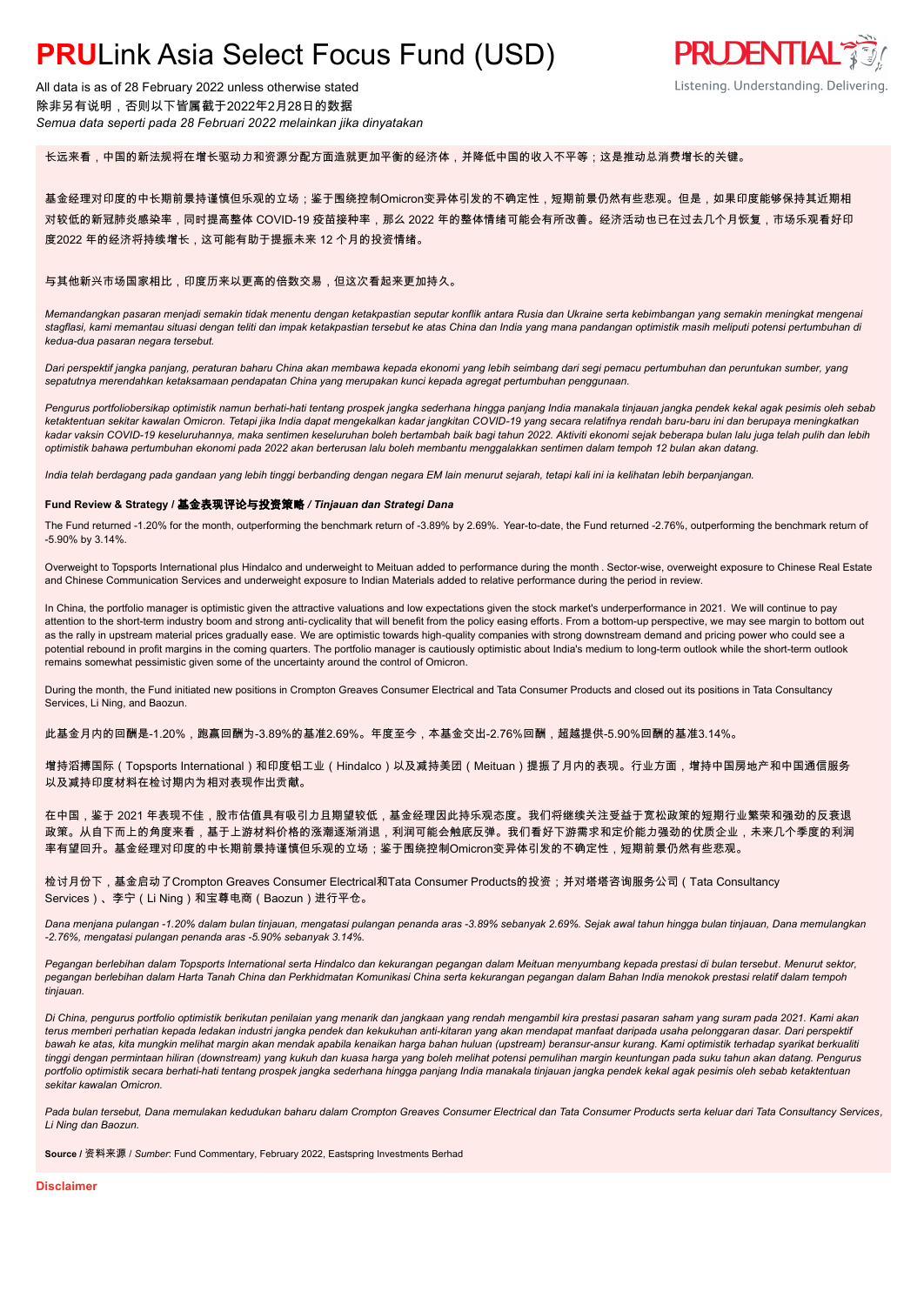All data is as of 28 February 2022 unless otherwise stated 除非另有说明,否则以下皆属截于2022年2月28日的数据 *Semua data seperti pada 28 Februari 2022 melainkan jika dinyatakan*

长远来看,中国的新法规将在增长驱动力和资源分配方面造就更加平衡的经济体,并降低中国的收入不平等;这是推动总消费增长的关键。

基金经理对印度的中长期前景持谨慎但乐观的立场;鉴于围绕控制Omicron变异体引发的不确定性,短期前景仍然有些悲观。但是,如果印度能够保持其近期相 对较低的新冠肺炎感染率,同时提高整体 COVID-19 疫苗接种率,那么 2022 年的整体情绪可能会有所改善。经济活动也已在过去几个月恢复,市场乐观看好印 度2022 年的经济将持续增长,这可能有助于提振未来 12 个月的投资情绪。

#### 与其他新兴市场国家相比,印度历来以更高的倍数交易,但这次看起来更加持久。

*Memandangkan pasaran menjadi semakin tidak menentu dengan ketakpastian seputar konflik antara Rusia dan Ukraine serta kebimbangan yang semakin meningkat mengenai stagflasi, kami memantau situasi dengan teliti dan impak ketakpastian tersebut ke atas China dan India yang mana pandangan optimistik masih meliputi potensi pertumbuhan di kedua-dua pasaran negara tersebut.*

*Dari perspektif jangka panjang, peraturan baharu China akan membawa kepada ekonomi yang lebih seimbang dari segi pemacu pertumbuhan dan peruntukan sumber, yang sepatutnya merendahkan ketaksamaan pendapatan China yang merupakan kunci kepada agregat pertumbuhan penggunaan.*

*Pengurus portfoliobersikap optimistik namun berhati-hati tentang prospek jangka sederhana hingga panjang India manakala tinjauan jangka pendek kekal agak pesimis oleh sebab ketaktentuan sekitar kawalan Omicron. Tetapi jika India dapat mengekalkan kadar jangkitan COVID-19 yang secara relatifnya rendah baru-baru ini dan berupaya meningkatkan kadar vaksin COVID-19 keseluruhannya, maka sentimen keseluruhan boleh bertambah baik bagi tahun 2022. Aktiviti ekonomi sejak beberapa bulan lalu juga telah pulih dan lebih optimistik bahawa pertumbuhan ekonomi pada 2022 akan berterusan lalu boleh membantu menggalakkan sentimen dalam tempoh 12 bulan akan datang.*

*India telah berdagang pada gandaan yang lebih tinggi berbanding dengan negara EM lain menurut sejarah, tetapi kali ini ia kelihatan lebih berpanjangan.*

#### **Fund Review & Strategy /** 基金表现评论与投资策略 */ Tinjauan dan Strategi Dana*

The Fund returned -1.20% for the month, outperforming the benchmark return of -3.89% by 2.69%. Year-to-date, the Fund returned -2.76%, outperforming the benchmark return of -5.90% by 3.14%.

Overweight to Topsports International plus Hindalco and underweight to Meituan added to performance during the month . Sector-wise, overweight exposure to Chinese Real Estate and Chinese Communication Services and underweight exposure to Indian Materials added to relative performance during the period in review.

In China, the portfolio manager is optimistic given the attractive valuations and low expectations given the stock market's underperformance in 2021. We will continue to pay attention to the short-term industry boom and strong anti-cyclicality that will benefit from the policy easing efforts. From a bottom-up perspective, we may see margin to bottom out as the rally in upstream material prices gradually ease. We are optimistic towards high-quality companies with strong downstream demand and pricing power who could see a potential rebound in profit margins in the coming quarters. The portfolio manager is cautiously optimistic about India's medium to long-term outlook while the short-term outlook remains somewhat pessimistic given some of the uncertainty around the control of Omicron.

During the month, the Fund initiated new positions in Crompton Greaves Consumer Electrical and Tata Consumer Products and closed out its positions in Tata Consultancy Services, Li Ning, and Baozun.

此基金月内的回酬是-1.20%,跑赢回酬为-3.89%的基准2.69%。年度至今,本基金交出-2.76%回酬,超越提供-5.90%回酬的基准3.14%。

增持滔搏国际(Topsports International)和印度铝工业(Hindalco)以及减持美团(Meituan)提振了月内的表现。行业方面,增持中国房地产和中国通信服务 以及减持印度材料在检讨期内为相对表现作出贡献。

在中国,鉴于 2021 年表现不佳,股市估值具有吸引力且期望较低,基金经理因此持乐观态度。我们将继续关注受益于宽松政策的短期行业繁荣和强劲的反衰退 政策。从自下而上的角度来看,基于上游材料价格的涨潮逐渐消退,利润可能会触底反弹。我们看好下游需求和定价能力强劲的优质企业,未来几个季度的利润 率有望回升。基金经理对印度的中长期前景持谨慎但乐观的立场;鉴于围绕控制Omicron变异体引发的不确定性,短期前景仍然有些悲观。

检讨月份下,基金启动了Crompton Greaves Consumer Electrical和Tata Consumer Products的投资;并对塔塔咨询服务公司(Tata Consultancy Services)、李宁(Li Ning)和宝尊电商(Baozun)进行平仓。

*Dana menjana pulangan -1.20% dalam bulan tinjauan, mengatasi pulangan penanda aras -3.89% sebanyak 2.69%. Sejak awal tahun hingga bulan tinjauan, Dana memulangkan -2.76%, mengatasi pulangan penanda aras -5.90% sebanyak 3.14%.*

*Pegangan berlebihan dalam Topsports International serta Hindalco dan kekurangan pegangan dalam Meituan menyumbang kepada prestasi di bulan tersebut. Menurut sektor, pegangan berlebihan dalam Harta Tanah China dan Perkhidmatan Komunikasi China serta kekurangan pegangan dalam Bahan India menokok prestasi relatif dalam tempoh tinjauan.*

*Di China, pengurus portfolio optimistik berikutan penilaian yang menarik dan jangkaan yang rendah mengambil kira prestasi pasaran saham yang suram pada 2021. Kami akan terus memberi perhatian kepada ledakan industri jangka pendek dan kekukuhan anti-kitaran yang akan mendapat manfaat daripada usaha pelonggaran dasar. Dari perspektif bawah ke atas, kita mungkin melihat margin akan mendak apabila kenaikan harga bahan huluan (upstream) beransur-ansur kurang. Kami optimistik terhadap syarikat berkualiti tinggi dengan permintaan hiliran (downstream) yang kukuh dan kuasa harga yang boleh melihat potensi pemulihan margin keuntungan pada suku tahun akan datang. Pengurus portfolio optimistik secara berhati-hati tentang prospek jangka sederhana hingga panjang India manakala tinjauan jangka pendek kekal agak pesimis oleh sebab ketaktentuan sekitar kawalan Omicron.*

*Pada bulan tersebut, Dana memulakan kedudukan baharu dalam Crompton Greaves Consumer Electrical dan Tata Consumer Products serta keluar dari Tata Consultancy Services, Li Ning dan Baozun.*

**Source /** 资料来源 / *Sumber*: Fund Commentary, February 2022, Eastspring Investments Berhad

**Disclaimer**